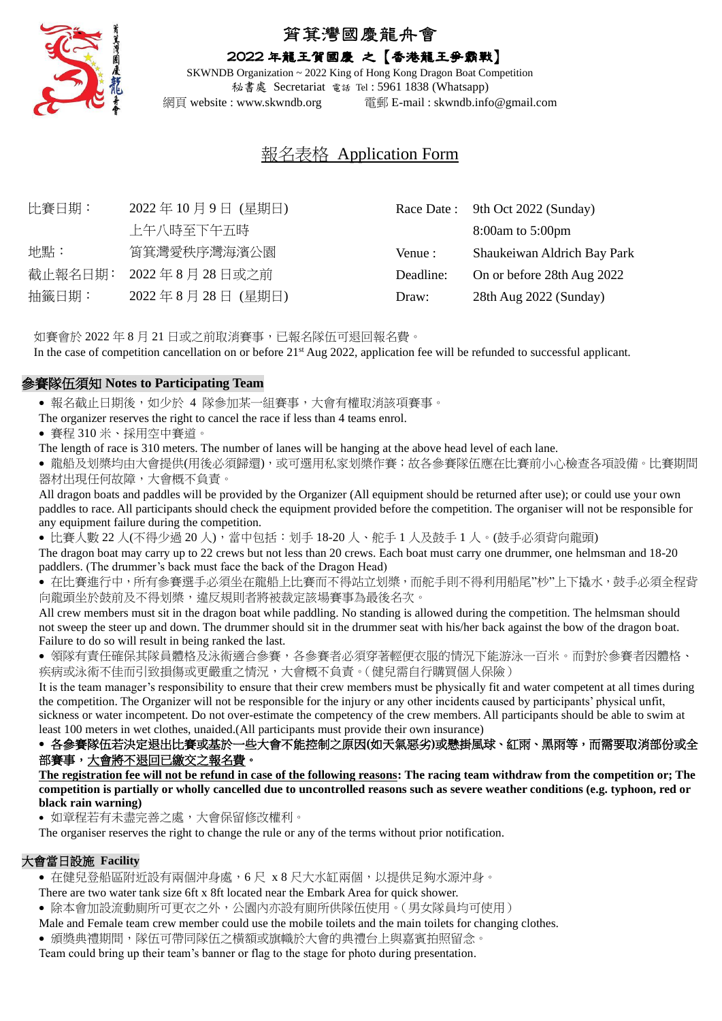

# 筲箕灣國慶龍舟會

## 2022 年龍王賀國慶 之【香港龍王爭霸戰】

SKWNDB Organization ~ 2022 King of Hong Kong Dragon Boat Competition 秘書處 Secretariat 電話 Tel : 5961 1838 (Whatsapp) 網頁 website : www.skwndb.org 電郵 E-mail : skwndb.info@gmail.com

# 報名表格 Application Form

| 比賽日期:   | 2022年10月9日 (星期日) |           | Race Date: 9th Oct 2022 (Sunday) |
|---------|------------------|-----------|----------------------------------|
|         | 上午八時至下午五時        |           | 8:00am to 5:00pm                 |
| 地點:     | 筲箕灣愛秩序灣海濱公園      | Venue :   | Shaukeiwan Aldrich Bay Park      |
| 截止報名日期: | 2022年8月28日或之前    | Deadline: | On or before 28th Aug 2022       |
| 抽籤日期:   | 2022年8月28日 (星期日) | Draw:     | 28th Aug 2022 (Sunday)           |
|         |                  |           |                                  |

如賽會於 2022 年 8 月 21 日或之前取消賽事,已報名隊伍可退回報名費。 In the case of competition cancellation on or before 21<sup>st</sup> Aug 2022, application fee will be refunded to successful applicant.

#### 參賽隊伍須知 **Notes to Participating Team**

• 報名截止日期後,如少於 4 隊參加某一組賽事,大會有權取消該項賽事。

- The organizer reserves the right to cancel the race if less than 4 teams enrol.
- 賽程 310 米、採用空中賽道。

The length of race is 310 meters. The number of lanes will be hanging at the above head level of each lane.

• 龍船及划槳均由大會提供(用後必須歸還),或可選用私家划槳作賽;故各參賽隊伍應在比賽前小心檢查各項設備。比賽期間 器材出現任何故障,大會概不負責。

All dragon boats and paddles will be provided by the Organizer (All equipment should be returned after use); or could use your own paddles to race. All participants should check the equipment provided before the competition. The organiser will not be responsible for any equipment failure during the competition.

● 比賽人數 22 人(不得少過 20 人),當中包括:划手 18-20 人、舵手 1 人及鼓手 1 人。(鼓手必須背向龍頭)

The dragon boat may carry up to 22 crews but not less than 20 crews. Each boat must carry one drummer, one helmsman and 18-20 paddlers. (The drummer's back must face the back of the Dragon Head)

● 在比賽進行中,所有參賽選手必須坐在龍船上比賽而不得站立划槳,而舵手則不得利用船尾"杪"上下撬水,鼓手必須全程背 向龍頭坐於鼓前及不得划槳,違反規則者將被裁定該場賽事為最後名次。

All crew members must sit in the dragon boat while paddling. No standing is allowed during the competition. The helmsman should not sweep the steer up and down. The drummer should sit in the drummer seat with his/her back against the bow of the dragon boat. Failure to do so will result in being ranked the last.

• 領隊有責任確保其隊員體格及泳術適合參賽,各參賽者必須穿著輕便衣服的情況下能游泳一百米。而對於參賽者因體格、 疾病或泳術不佳而引致損傷或更嚴重之情況,大會概不負責。(健兒需自行購買個人保險)

It is the team manager's responsibility to ensure that their crew members must be physically fit and water competent at all times during the competition. The Organizer will not be responsible for the injury or any other incidents caused by participants' physical unfit, sickness or water incompetent. Do not over-estimate the competency of the crew members. All participants should be able to swim at least 100 meters in wet clothes, unaided.(All participants must provide their own insurance)

## • 各參賽隊伍若決定退出比賽或基於一些大會不能控制之原因**(**如天氣惡劣**)**或懸掛風球、紅雨、黑雨等,而需要取消部份或全 部賽事,大會將不退回已繳交之報名費。

**The registration fee will not be refund in case of the following reasons: The racing team withdraw from the competition or; The competition is partially or wholly cancelled due to uncontrolled reasons such as severe weather conditions (e.g. typhoon, red or black rain warning)**

• 如章程若有未盡完善之處,大會保留修改權利。

The organiser reserves the right to change the rule or any of the terms without prior notification.

#### 大會當日設施 **Facility**

• 在健兒登船區附近設有兩個沖身處,6 尺 x 8 尺大水缸兩個,以提供足夠水源沖身。

There are two water tank size 6ft x 8ft located near the Embark Area for quick shower.

• 除本會加設流動廁所可更衣之外,公園內亦設有廁所供隊伍使用。(男女隊員均可使用)

Male and Female team crew member could use the mobile toilets and the main toilets for changing clothes.

• 頒獎典禮期間,隊伍可帶同隊伍之橫額或旗幟於大會的典禮台上與嘉賓拍照留念。

Team could bring up their team's banner or flag to the stage for photo during presentation.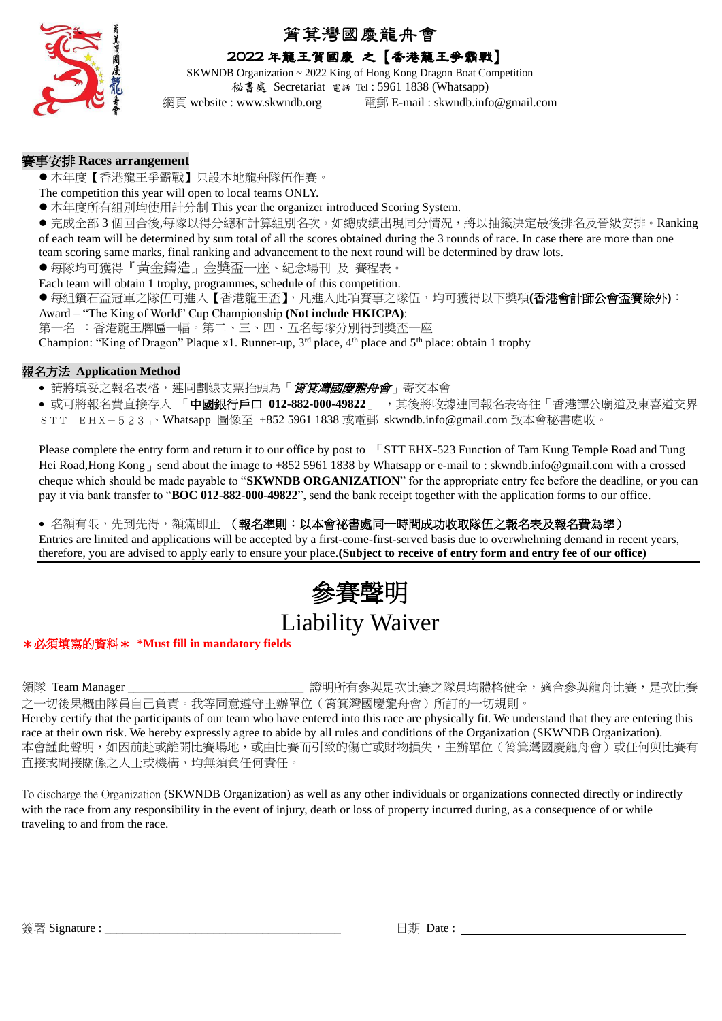

## 筲箕灣國慶龍舟會

## 2022 年龍王賀國慶 之【香港龍王爭霸戰】

SKWNDB Organization ~ 2022 King of Hong Kong Dragon Boat Competition 秘書處 Secretariat 電話 Tel : 5961 1838 (Whatsapp)

網頁 website : www.skwndb.org 電郵 E-mail : skwndb.info@gmail.com

## 賽事安排 **Races arrangement**

- ●本年度【香港龍王爭霸戰】只設本地龍舟隊伍作賽。
- The competition this year will open to local teams ONLY.
- 本年度所有組別均使用計分制 This year the organizer introduced Scoring System.
- 完成全部 3 個回合後,每隊以得分總和計算組別名次。如總成績出現同分情況,將以抽籤決定最後排名及晉級安排。Ranking of each team will be determined by sum total of all the scores obtained during the 3 rounds of race. In case there are more than one team scoring same marks, final ranking and advancement to the next round will be determined by draw lots.
- 每隊均可獲得『黃金鑄造』金獎盃一座、紀念場刊 及 賽程表。
- Each team will obtain 1 trophy, programmes, schedule of this competition.
- 每組鑽石盃冠軍之隊伍可進入【香港龍王盃】,凡進入此項賽事之隊伍,均可獲得以下獎項(香港會計師公會盃賽除外):
- Award "The King of World" Cup Championship **(Not include HKICPA)**:
- 第一名 :香港龍王牌匾一幅。第二、三、四、五名每隊分別得到獎盃一座

Champion: "King of Dragon" Plaque x1. Runner-up,  $3<sup>rd</sup>$  place,  $4<sup>th</sup>$  place and  $5<sup>th</sup>$  place: obtain 1 trophy

## 報名方法 **Application Method**

- 請將填妥之報名表格,連同劃線支票抬頭為「*筲箕灣國慶龍舟會*」寄交本會
- 或可將報名費直接存入 「 中**國銀行戶口 012-882-000-49822** 」 , 其後將收據連同報名表寄往「香港譚公廟道及東喜道交界
- STT EHX-523」、Whatsapp 圖像至 +852 5961 1838 或電郵 skwndb.info@gmail.com 致本會秘書處收。

Please complete the entry form and return it to our office by post to <sup>F</sup>STT EHX-523 Function of Tam Kung Temple Road and Tung Hei Road,Hong Kong Bend about the image to +852 5961 1838 by Whatsapp or e-mail to : skwndb.info@gmail.com with a crossed cheque which should be made payable to "**SKWNDB ORGANIZATION**" for the appropriate entry fee before the deadline, or you can pay it via bank transfer to "**BOC 012-882-000-49822**", send the bank receipt together with the application forms to our office.

• 名額有限,先到先得,額滿即止 (報名準則:以本會祕書處同一時間成功收取隊伍之報名表及報名費為準)

Entries are limited and applications will be accepted by a first-come-first-served basis due to overwhelming demand in recent years, therefore, you are advised to apply early to ensure your place.**(Subject to receive of entry form and entry fee of our office)**

# 參賽聲明 Liability Waiver

## \*必須填寫的資料\* **\*Must fill in mandatory fields**

領隊 Team Manager \_\_\_\_\_\_\_\_\_\_\_\_\_\_\_\_\_\_\_\_\_\_\_\_\_\_\_\_\_ 證明所有參與是次比賽之隊員均體格健全,適合參與龍舟比賽,是次比賽 之一切後果概由隊員自己負責。我等同意遵守主辦單位(筲箕灣國慶龍舟會)所訂的一切規則。 Hereby certify that the participants of our team who have entered into this race are physically fit. We understand that they are entering this race at their own risk. We hereby expressly agree to abide by all rules and conditions of the Organization (SKWNDB Organization).

本會謹此聲明,如因前赴或離開比賽場地,或由比賽而引致的傷亡或財物損失,主辦單位(筲箕灣國慶龍舟會)或任何與比賽有 直接或間接關係之人士或機構,均無須負任何責任。

To discharge the Organization (SKWNDB Organization) as well as any other individuals or organizations connected directly or indirectly with the race from any responsibility in the event of injury, death or loss of property incurred during, as a consequence of or while traveling to and from the race.